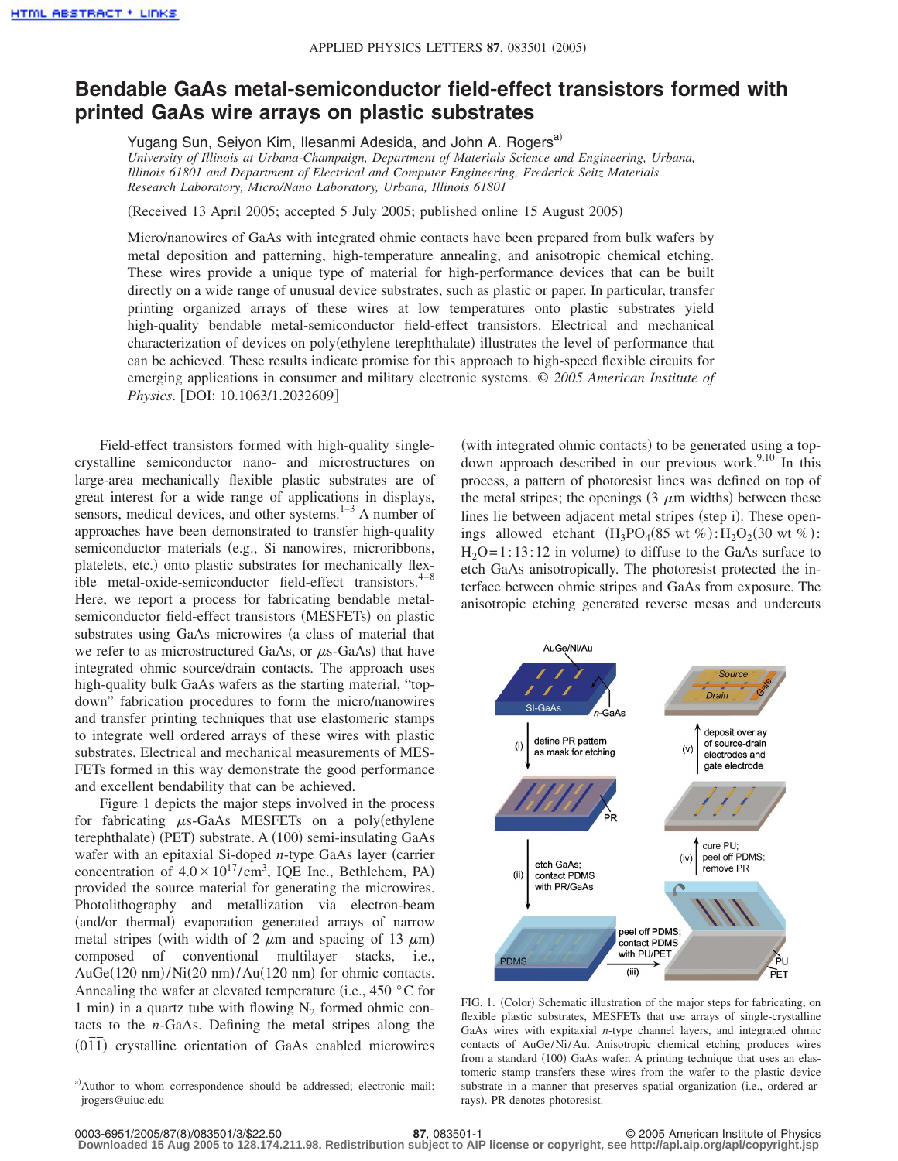## **Bendable GaAs metal-semiconductor field-effect transistors formed with printed GaAs wire arrays on plastic substrates**

Yugang Sun, Seiyon Kim, Ilesanmi Adesida, and John A. Rogers<sup>a)</sup> *University of Illinois at Urbana-Champaign, Department of Materials Science and Engineering, Urbana, Illinois 61801 and Department of Electrical and Computer Engineering, Frederick Seitz Materials Research Laboratory, Micro/Nano Laboratory, Urbana, Illinois 61801*

Received 13 April 2005; accepted 5 July 2005; published online 15 August 2005-

Micro/nanowires of GaAs with integrated ohmic contacts have been prepared from bulk wafers by metal deposition and patterning, high-temperature annealing, and anisotropic chemical etching. These wires provide a unique type of material for high-performance devices that can be built directly on a wide range of unusual device substrates, such as plastic or paper. In particular, transfer printing organized arrays of these wires at low temperatures onto plastic substrates yield high-quality bendable metal-semiconductor field-effect transistors. Electrical and mechanical characterization of devices on poly(ethylene terephthalate) illustrates the level of performance that can be achieved. These results indicate promise for this approach to high-speed flexible circuits for emerging applications in consumer and military electronic systems. © *2005 American Institute of Physics.* [DOI: 10.1063/1.2032609]

Field-effect transistors formed with high-quality singlecrystalline semiconductor nano- and microstructures on large-area mechanically flexible plastic substrates are of great interest for a wide range of applications in displays, sensors, medical devices, and other systems.<sup>1-3</sup> A number of approaches have been demonstrated to transfer high-quality semiconductor materials (e.g., Si nanowires, microribbons, platelets, etc.) onto plastic substrates for mechanically flexible metal-oxide-semiconductor field-effect transistors. $4-8$ Here, we report a process for fabricating bendable metalsemiconductor field-effect transistors (MESFETs) on plastic substrates using GaAs microwires (a class of material that we refer to as microstructured GaAs, or  $\mu$ s-GaAs) that have integrated ohmic source/drain contacts. The approach uses high-quality bulk GaAs wafers as the starting material, "topdown" fabrication procedures to form the micro/nanowires and transfer printing techniques that use elastomeric stamps to integrate well ordered arrays of these wires with plastic substrates. Electrical and mechanical measurements of MES-FETs formed in this way demonstrate the good performance and excellent bendability that can be achieved.

Figure 1 depicts the major steps involved in the process for fabricating  $\mu$ s-GaAs MESFETs on a poly(ethylene terephthalate) (PET) substrate. A (100) semi-insulating GaAs wafer with an epitaxial Si-doped *n*-type GaAs layer (carrier concentration of  $4.0 \times 10^{17} / \text{cm}^3$ , IQE Inc., Bethlehem, PA) provided the source material for generating the microwires. Photolithography and metallization via electron-beam (and/or thermal) evaporation generated arrays of narrow metal stripes (with width of 2  $\mu$ m and spacing of 13  $\mu$ m) composed of conventional multilayer stacks, i.e.,  $AuGe(120 \text{ nm})/Ni(20 \text{ nm})/Au(120 \text{ nm})$  for ohmic contacts. Annealing the wafer at elevated temperature (i.e.,  $450 \degree C$  for 1 min) in a quartz tube with flowing  $N_2$  formed ohmic contacts to the *n*-GaAs. Defining the metal stripes along the  $(011)$  crystalline orientation of GaAs enabled microwires

(with integrated ohmic contacts) to be generated using a topdown approach described in our previous work.<sup>9,10</sup> In this process, a pattern of photoresist lines was defined on top of the metal stripes; the openings  $(3 \mu m)$  widths) between these lines lie between adjacent metal stripes (step i). These openings allowed etchant  $(H_3PO_4(85 \text{ wt } \%) : H_2O_2(30 \text{ wt } \%)$ :  $H_2O = 1:13:12$  in volume) to diffuse to the GaAs surface to etch GaAs anisotropically. The photoresist protected the interface between ohmic stripes and GaAs from exposure. The anisotropic etching generated reverse mesas and undercuts



FIG. 1. (Color) Schematic illustration of the major steps for fabricating, on flexible plastic substrates, MESFETs that use arrays of single-crystalline GaAs wires with expitaxial *n*-type channel layers, and integrated ohmic contacts of AuGe/Ni/Au. Anisotropic chemical etching produces wires from a standard (100) GaAs wafer. A printing technique that uses an elastomeric stamp transfers these wires from the wafer to the plastic device substrate in a manner that preserves spatial organization (i.e., ordered arrays). PR denotes photoresist.

a)Author to whom correspondence should be addressed; electronic mail: jrogers@uiuc.edu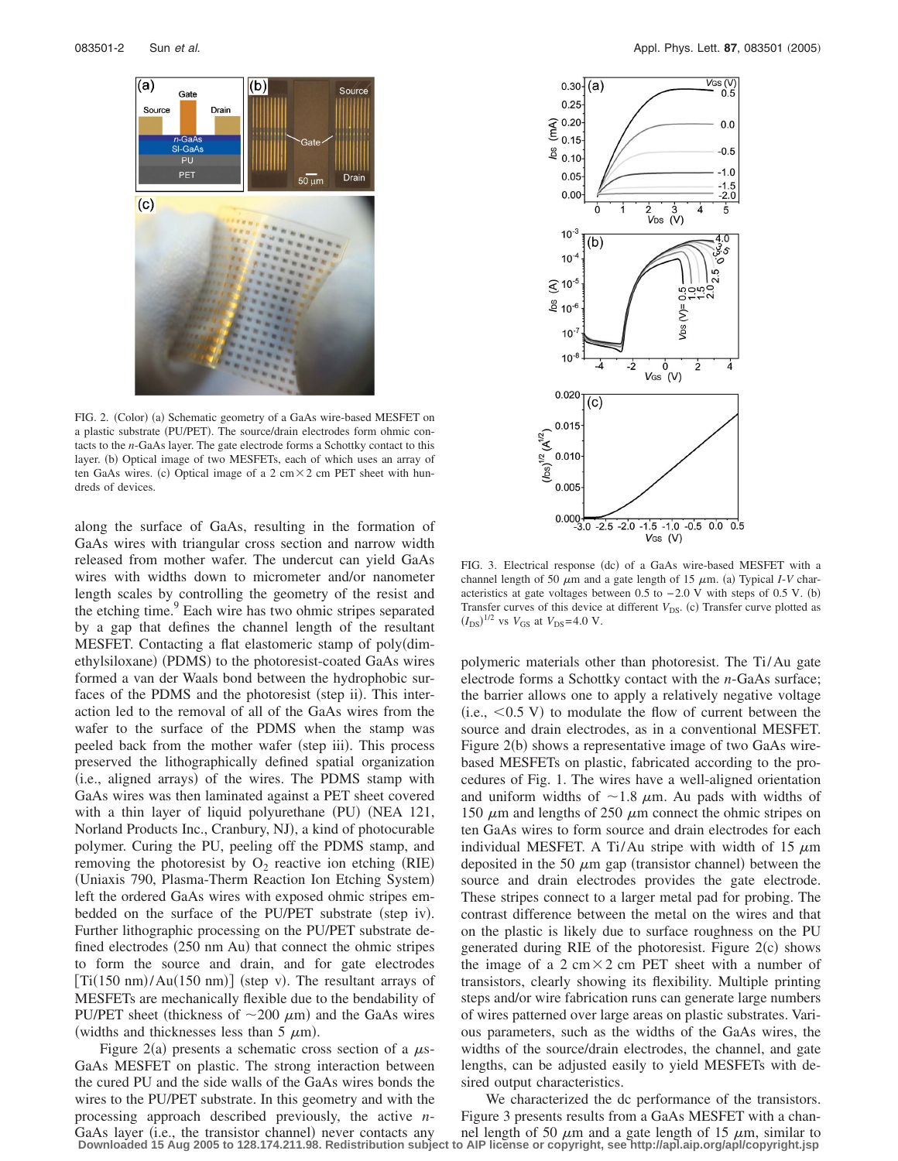

FIG. 2. (Color) (a) Schematic geometry of a GaAs wire-based MESFET on a plastic substrate (PU/PET). The source/drain electrodes form ohmic contacts to the *n*-GaAs layer. The gate electrode forms a Schottky contact to this layer. (b) Optical image of two MESFETs, each of which uses an array of ten GaAs wires. (c) Optical image of a  $2 \text{ cm} \times 2 \text{ cm}$  PET sheet with hundreds of devices.

along the surface of GaAs, resulting in the formation of GaAs wires with triangular cross section and narrow width released from mother wafer. The undercut can yield GaAs wires with widths down to micrometer and/or nanometer length scales by controlling the geometry of the resist and the etching time.<sup>9</sup> Each wire has two ohmic stripes separated by a gap that defines the channel length of the resultant MESFET. Contacting a flat elastomeric stamp of poly(dimethylsiloxane) (PDMS) to the photoresist-coated GaAs wires formed a van der Waals bond between the hydrophobic surfaces of the PDMS and the photoresist (step ii). This interaction led to the removal of all of the GaAs wires from the wafer to the surface of the PDMS when the stamp was peeled back from the mother wafer (step iii). This process preserved the lithographically defined spatial organization (i.e., aligned arrays) of the wires. The PDMS stamp with GaAs wires was then laminated against a PET sheet covered with a thin layer of liquid polyurethane (PU) (NEA 121, Norland Products Inc., Cranbury, NJ), a kind of photocurable polymer. Curing the PU, peeling off the PDMS stamp, and removing the photoresist by  $O_2$  reactive ion etching (RIE) (Uniaxis 790, Plasma-Therm Reaction Ion Etching System) left the ordered GaAs wires with exposed ohmic stripes embedded on the surface of the PU/PET substrate (step iv). Further lithographic processing on the PU/PET substrate defined electrodes (250 nm Au) that connect the ohmic stripes to form the source and drain, and for gate electrodes  $[Ti(150 nm)/Au(150 nm)]$  (step v). The resultant arrays of MESFETs are mechanically flexible due to the bendability of PU/PET sheet (thickness of  $\sim$ 200  $\mu$ m) and the GaAs wires (widths and thicknesses less than 5  $\mu$ m).

Figure 2(a) presents a schematic cross section of a  $\mu$ s-GaAs MESFET on plastic. The strong interaction between the cured PU and the side walls of the GaAs wires bonds the wires to the PU/PET substrate. In this geometry and with the processing approach described previously, the active *n*-GaAs layer (i.e., the transistor channel) never contacts any **Downloaded 15 Aug 2005 to 128.174.211.98. Redistribution subject to AIP license or copyright, see http://apl.aip.org/apl/copyright.jsp**



FIG. 3. Electrical response (dc) of a GaAs wire-based MESFET with a channel length of 50  $\mu$ m and a gate length of 15  $\mu$ m. (a) Typical *I*-*V* characteristics at gate voltages between  $0.5$  to  $-2.0$  V with steps of 0.5 V. (b) Transfer curves of this device at different  $V_{DS}$ . (c) Transfer curve plotted as  $(I_{DS})^{1/2}$  vs  $V_{GS}$  at  $V_{DS}$  = 4.0 V.

polymeric materials other than photoresist. The Ti/Au gate electrode forms a Schottky contact with the *n*-GaAs surface; the barrier allows one to apply a relatively negative voltage  $(i.e., <0.5 V)$  to modulate the flow of current between the source and drain electrodes, as in a conventional MESFET. Figure 2(b) shows a representative image of two GaAs wirebased MESFETs on plastic, fabricated according to the procedures of Fig. 1. The wires have a well-aligned orientation and uniform widths of  $\sim$ 1.8  $\mu$ m. Au pads with widths of 150  $\mu$ m and lengths of 250  $\mu$ m connect the ohmic stripes on ten GaAs wires to form source and drain electrodes for each individual MESFET. A Ti/Au stripe with width of 15  $\mu$ m deposited in the 50  $\mu$ m gap (transistor channel) between the source and drain electrodes provides the gate electrode. These stripes connect to a larger metal pad for probing. The contrast difference between the metal on the wires and that on the plastic is likely due to surface roughness on the PU generated during RIE of the photoresist. Figure 2(c) shows the image of a  $2 \text{ cm} \times 2 \text{ cm}$  PET sheet with a number of transistors, clearly showing its flexibility. Multiple printing steps and/or wire fabrication runs can generate large numbers of wires patterned over large areas on plastic substrates. Various parameters, such as the widths of the GaAs wires, the widths of the source/drain electrodes, the channel, and gate lengths, can be adjusted easily to yield MESFETs with desired output characteristics.

We characterized the dc performance of the transistors. Figure 3 presents results from a GaAs MESFET with a channel length of 50  $\mu$ m and a gate length of 15  $\mu$ m, similar to